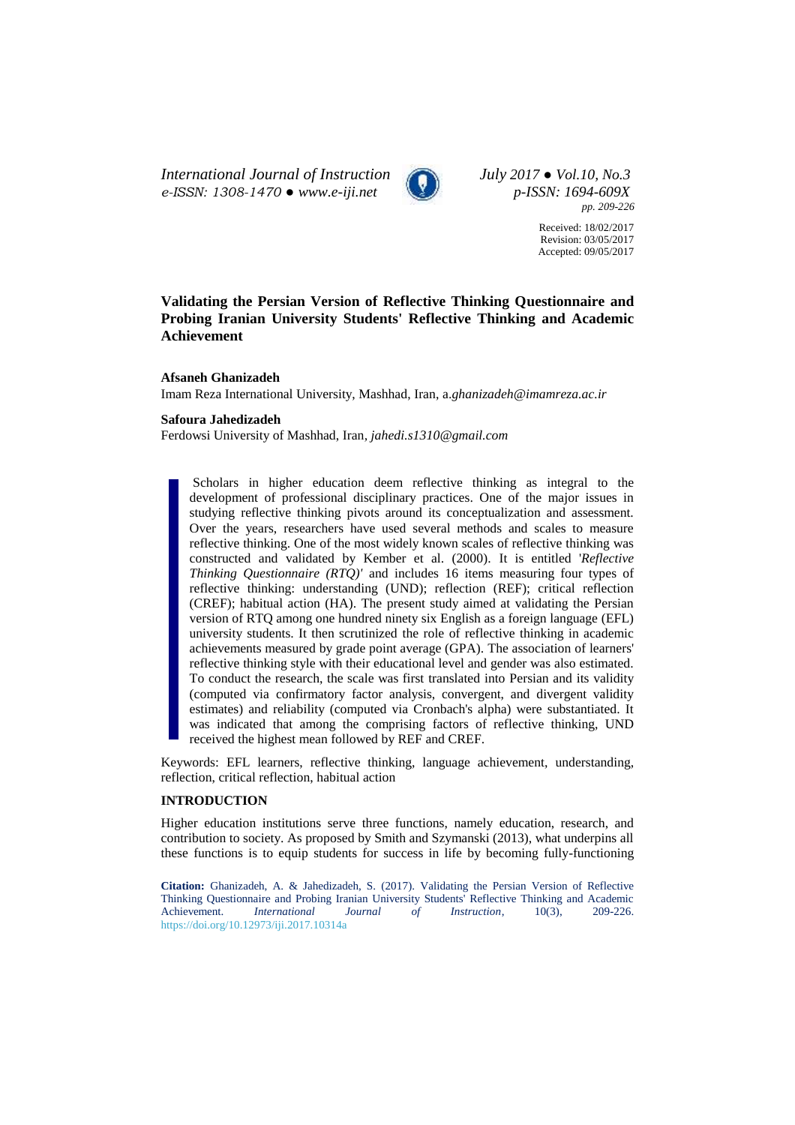*International Journal of Instruction July 2017 ● Vol.10, No.3 e-ISSN: 1308-1470 ● [www.e-iji.net](http://www.e-iji.net/) p-ISSN: 1694-609X*



*pp. 209-226*

Received: 18/02/2017 Revision: 03/05/2017 Accepted: 09/05/2017

**Validating the Persian Version of Reflective Thinking Questionnaire and Probing Iranian University Students' Reflective Thinking and Academic Achievement**

**Afsaneh Ghanizadeh** Imam Reza International University, Mashhad, Iran, a.*[ghanizadeh@imamreza.ac.ir](mailto:ghanizadeh@imamreza.ac.ir)*

## **Safoura Jahedizadeh**

Ferdowsi University of Mashhad, Iran*, jahedi.s1310@gmail.com*

Scholars in higher education deem reflective thinking as integral to the development of professional disciplinary practices. One of the major issues in studying reflective thinking pivots around its conceptualization and assessment. Over the years, researchers have used several methods and scales to measure reflective thinking. One of the most widely known scales of reflective thinking was constructed and validated by Kember et al. (2000). It is entitled '*Reflective Thinking Questionnaire (RTQ)'* and includes 16 items measuring four types of reflective thinking: understanding (UND); reflection (REF); critical reflection (CREF); habitual action (HA). The present study aimed at validating the Persian version of RTQ among one hundred ninety six English as a foreign language (EFL) university students. It then scrutinized the role of reflective thinking in academic achievements measured by grade point average (GPA). The association of learners' reflective thinking style with their educational level and gender was also estimated. To conduct the research, the scale was first translated into Persian and its validity (computed via confirmatory factor analysis, convergent, and divergent validity estimates) and reliability (computed via Cronbach's alpha) were substantiated. It was indicated that among the comprising factors of reflective thinking, UND received the highest mean followed by REF and CREF.

Keywords: EFL learners, reflective thinking, language achievement, understanding, reflection, critical reflection, habitual action

## **INTRODUCTION**

Higher education institutions serve three functions, namely education, research, and contribution to society. As proposed by Smith and Szymanski (2013), what underpins all these functions is to equip students for success in life by becoming fully-functioning

**Citation:** Ghanizadeh, A. & Jahedizadeh, S. (2017). Validating the Persian Version of Reflective Thinking Questionnaire and Probing Iranian University Students' Reflective Thinking and Academic Achievement. *International Journal of Instruction*, 10(3), 209-226. *International Journal of Instruction*, 10(3), 209-226. <https://doi.org/10.12973/iji.2017.10314a>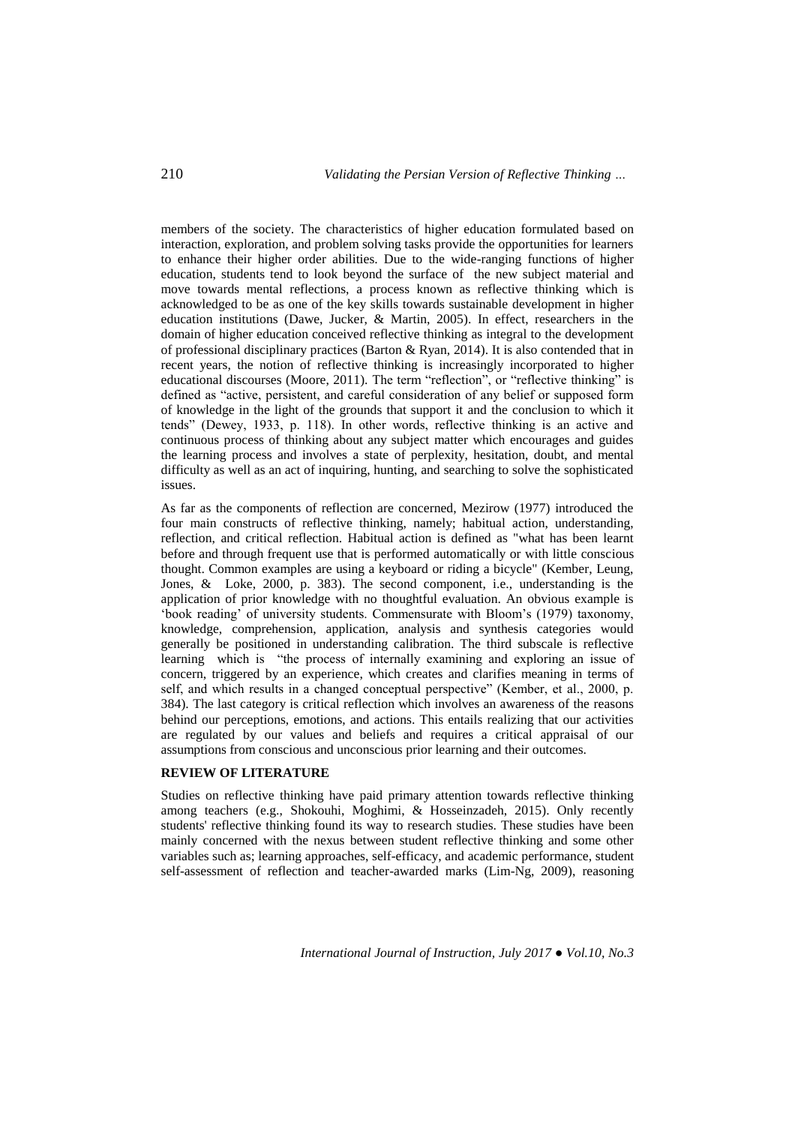members of the society. The characteristics of higher education formulated based on interaction, exploration, and problem solving tasks provide the opportunities for learners to enhance their higher order abilities. Due to the wide-ranging functions of higher education, students tend to look beyond the surface of the new subject material and move towards mental reflections, a process known as reflective thinking which is acknowledged to be as one of the key skills towards sustainable development in higher education institutions (Dawe, Jucker, & Martin, 2005). In effect, researchers in the domain of higher education conceived reflective thinking as integral to the development of professional disciplinary practices (Barton & Ryan, 2014). It is also contended that in recent years, the notion of reflective thinking is increasingly incorporated to higher educational discourses (Moore, 2011). The term "reflection", or "reflective thinking" is defined as "active, persistent, and careful consideration of any belief or supposed form of knowledge in the light of the grounds that support it and the conclusion to which it tends" (Dewey, 1933, p. 118). In other words, reflective thinking is an active and continuous process of thinking about any subject matter which encourages and guides the learning process and involves a state of perplexity, hesitation, doubt, and mental difficulty as well as an act of inquiring, hunting, and searching to solve the sophisticated issues.

As far as the components of reflection are concerned, Mezirow (1977) introduced the four main constructs of reflective thinking, namely; habitual action, understanding, reflection, and critical reflection. Habitual action is defined as "what has been learnt before and through frequent use that is performed automatically or with little conscious thought. Common examples are using a keyboard or riding a bicycle" (Kember, Leung, Jones, & Loke, 2000, p. 383). The second component, i.e., understanding is the application of prior knowledge with no thoughtful evaluation. An obvious example is 'book reading' of university students. Commensurate with Bloom's (1979) taxonomy, knowledge, comprehension, application, analysis and synthesis categories would generally be positioned in understanding calibration. The third subscale is reflective learning which is "the process of internally examining and exploring an issue of concern, triggered by an experience, which creates and clarifies meaning in terms of self, and which results in a changed conceptual perspective" (Kember, et al., 2000, p. 384). The last category is critical reflection which involves an awareness of the reasons behind our perceptions, emotions, and actions. This entails realizing that our activities are regulated by our values and beliefs and requires a critical appraisal of our assumptions from conscious and unconscious prior learning and their outcomes.

# **REVIEW OF LITERATURE**

Studies on reflective thinking have paid primary attention towards reflective thinking among teachers (e.g., Shokouhi, Moghimi, & Hosseinzadeh, 2015). Only recently students' reflective thinking found its way to research studies. These studies have been mainly concerned with the nexus between student reflective thinking and some other variables such as; learning approaches, self-efficacy, and academic performance, student self-assessment of reflection and teacher-awarded marks (Lim-Ng, 2009), reasoning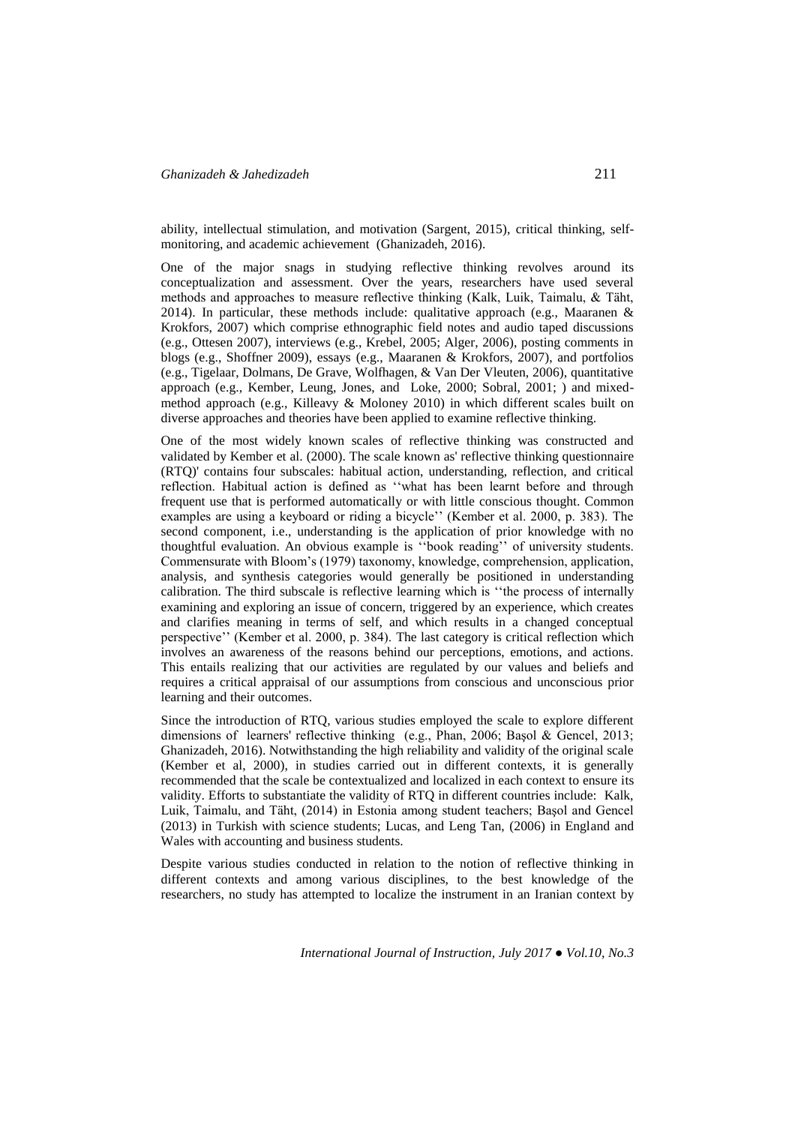ability, intellectual stimulation, and motivation (Sargent, 2015), critical thinking, selfmonitoring, and academic achievement (Ghanizadeh, 2016).

One of the major snags in studying reflective thinking revolves around its conceptualization and assessment. Over the years, researchers have used several methods and approaches to measure reflective thinking (Kalk, Luik, Taimalu, & Täht, 2014). In particular, these methods include: qualitative approach (e.g., Maaranen  $\&$ Krokfors, 2007) which comprise ethnographic field notes and audio taped discussions (e.g., Ottesen 2007), interviews (e.g., Krebel, 2005; Alger, 2006), posting comments in blogs (e.g., Shoffner 2009), essays (e.g., Maaranen & Krokfors, 2007), and portfolios (e.g., Tigelaar, Dolmans, De Grave, Wolfhagen, & Van Der Vleuten, 2006), quantitative approach (e.g., Kember, Leung, Jones, and Loke, 2000; Sobral, 2001; ) and mixedmethod approach (e.g., Killeavy & Moloney 2010) in which different scales built on diverse approaches and theories have been applied to examine reflective thinking.

One of the most widely known scales of reflective thinking was constructed and validated by Kember et al. (2000). The scale known as' reflective thinking questionnaire (RTQ)' contains four subscales: habitual action, understanding, reflection, and critical reflection. Habitual action is defined as ''what has been learnt before and through frequent use that is performed automatically or with little conscious thought. Common examples are using a keyboard or riding a bicycle'' (Kember et al. 2000, p. 383). The second component, i.e., understanding is the application of prior knowledge with no thoughtful evaluation. An obvious example is ''book reading'' of university students. Commensurate with Bloom's (1979) taxonomy, knowledge, comprehension, application, analysis, and synthesis categories would generally be positioned in understanding calibration. The third subscale is reflective learning which is ''the process of internally examining and exploring an issue of concern, triggered by an experience, which creates and clarifies meaning in terms of self, and which results in a changed conceptual perspective'' (Kember et al. 2000, p. 384). The last category is critical reflection which involves an awareness of the reasons behind our perceptions, emotions, and actions. This entails realizing that our activities are regulated by our values and beliefs and requires a critical appraisal of our assumptions from conscious and unconscious prior learning and their outcomes.

Since the introduction of RTQ, various studies employed the scale to explore different dimensions of learners' reflective thinking (e.g., Phan, 2006; Başol & Gencel, 2013; Ghanizadeh, 2016). Notwithstanding the high reliability and validity of the original scale (Kember et al, 2000), in studies carried out in different contexts, it is generally recommended that the scale be contextualized and localized in each context to ensure its validity. Efforts to substantiate the validity of RTQ in different countries include: Kalk, Luik, Taimalu, and Täht, (2014) in Estonia among student teachers; Başol and Gencel (2013) in Turkish with science students; Lucas, and Leng Tan, (2006) in England and Wales with accounting and business students.

Despite various studies conducted in relation to the notion of reflective thinking in different contexts and among various disciplines, to the best knowledge of the researchers, no study has attempted to localize the instrument in an Iranian context by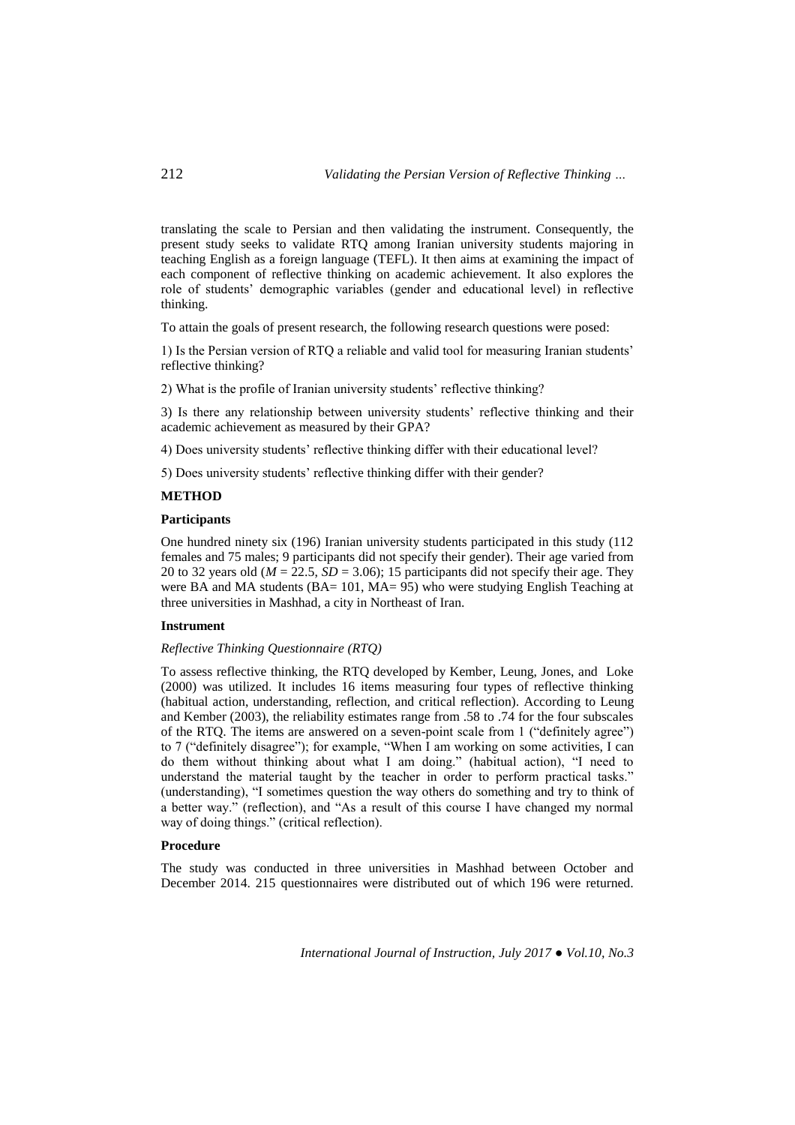translating the scale to Persian and then validating the instrument. Consequently, the present study seeks to validate RTQ among Iranian university students majoring in teaching English as a foreign language (TEFL). It then aims at examining the impact of each component of reflective thinking on academic achievement. It also explores the role of students' demographic variables (gender and educational level) in reflective thinking.

To attain the goals of present research, the following research questions were posed:

1) Is the Persian version of RTQ a reliable and valid tool for measuring Iranian students' reflective thinking?

2) What is the profile of Iranian university students' reflective thinking?

3) Is there any relationship between university students' reflective thinking and their academic achievement as measured by their GPA?

4) Does university students' reflective thinking differ with their educational level?

5) Does university students' reflective thinking differ with their gender?

# **METHOD**

## **Participants**

One hundred ninety six (196) Iranian university students participated in this study (112 females and 75 males; 9 participants did not specify their gender). Their age varied from 20 to 32 years old ( $M = 22.5$ ,  $SD = 3.06$ ); 15 participants did not specify their age. They were BA and MA students (BA= 101, MA= 95) who were studying English Teaching at three universities in Mashhad, a city in Northeast of Iran.

## **Instrument**

# *Reflective Thinking Questionnaire (RTQ)*

To assess reflective thinking, the RTQ developed by Kember, Leung, Jones, and Loke (2000) was utilized. It includes 16 items measuring four types of reflective thinking (habitual action, understanding, reflection, and critical reflection). According to Leung and Kember (2003), the reliability estimates range from .58 to .74 for the four subscales of the RTQ. The items are answered on a seven-point scale from 1 ("definitely agree") to 7 ("definitely disagree"); for example, "When I am working on some activities, I can do them without thinking about what I am doing." (habitual action), "I need to understand the material taught by the teacher in order to perform practical tasks." (understanding), "I sometimes question the way others do something and try to think of a better way." (reflection), and "As a result of this course I have changed my normal way of doing things." (critical reflection).

# **Procedure**

The study was conducted in three universities in Mashhad between October and December 2014. 215 questionnaires were distributed out of which 196 were returned.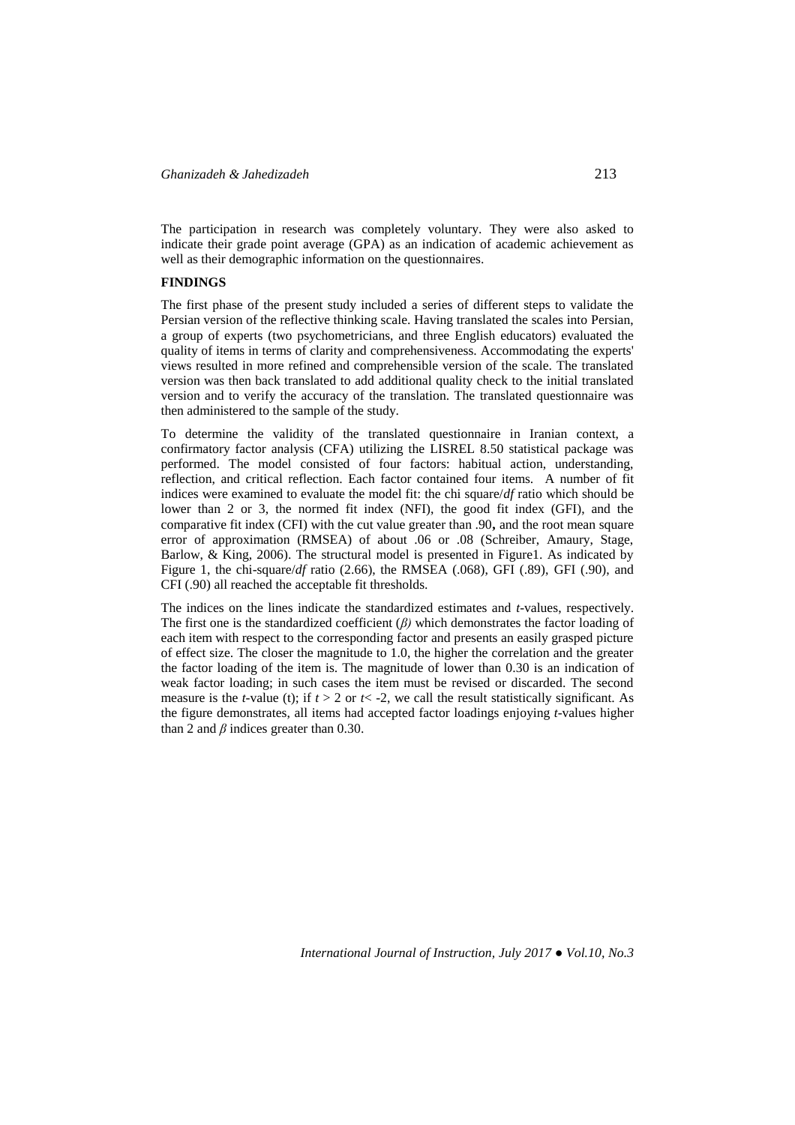The participation in research was completely voluntary. They were also asked to indicate their grade point average (GPA) as an indication of academic achievement as well as their demographic information on the questionnaires.

## **FINDINGS**

The first phase of the present study included a series of different steps to validate the Persian version of the reflective thinking scale. Having translated the scales into Persian, a group of experts (two psychometricians, and three English educators) evaluated the quality of items in terms of clarity and comprehensiveness. Accommodating the experts' views resulted in more refined and comprehensible version of the scale. The translated version was then back translated to add additional quality check to the initial translated version and to verify the accuracy of the translation. The translated questionnaire was then administered to the sample of the study.

To determine the validity of the translated questionnaire in Iranian context, a confirmatory factor analysis (CFA) utilizing the LISREL 8.50 statistical package was performed. The model consisted of four factors: habitual action, understanding, reflection, and critical reflection. Each factor contained four items. A number of fit indices were examined to evaluate the model fit: the chi square/*df* ratio which should be lower than 2 or 3, the normed fit index (NFI), the good fit index (GFI), and the comparative fit index (CFI) with the cut value greater than .90**,** and the root mean square error of approximation (RMSEA) of about .06 or .08 (Schreiber, Amaury, Stage, Barlow, & King, 2006). The structural model is presented in Figure1. As indicated by Figure 1, the chi-square/*df* ratio (2.66), the RMSEA (.068), GFI (.89), GFI (.90), and CFI (.90) all reached the acceptable fit thresholds.

The indices on the lines indicate the standardized estimates and *t*-values, respectively. The first one is the standardized coefficient (*β)* which demonstrates the factor loading of each item with respect to the corresponding factor and presents an easily grasped picture of effect size. The closer the magnitude to 1.0, the higher the correlation and the greater the factor loading of the item is. The magnitude of lower than 0.30 is an indication of weak factor loading; in such cases the item must be revised or discarded. The second measure is the *t*-value (t); if  $t > 2$  or  $t < -2$ , we call the result statistically significant. As the figure demonstrates, all items had accepted factor loadings enjoying *t*-values higher than 2 and *β* indices greater than 0.30.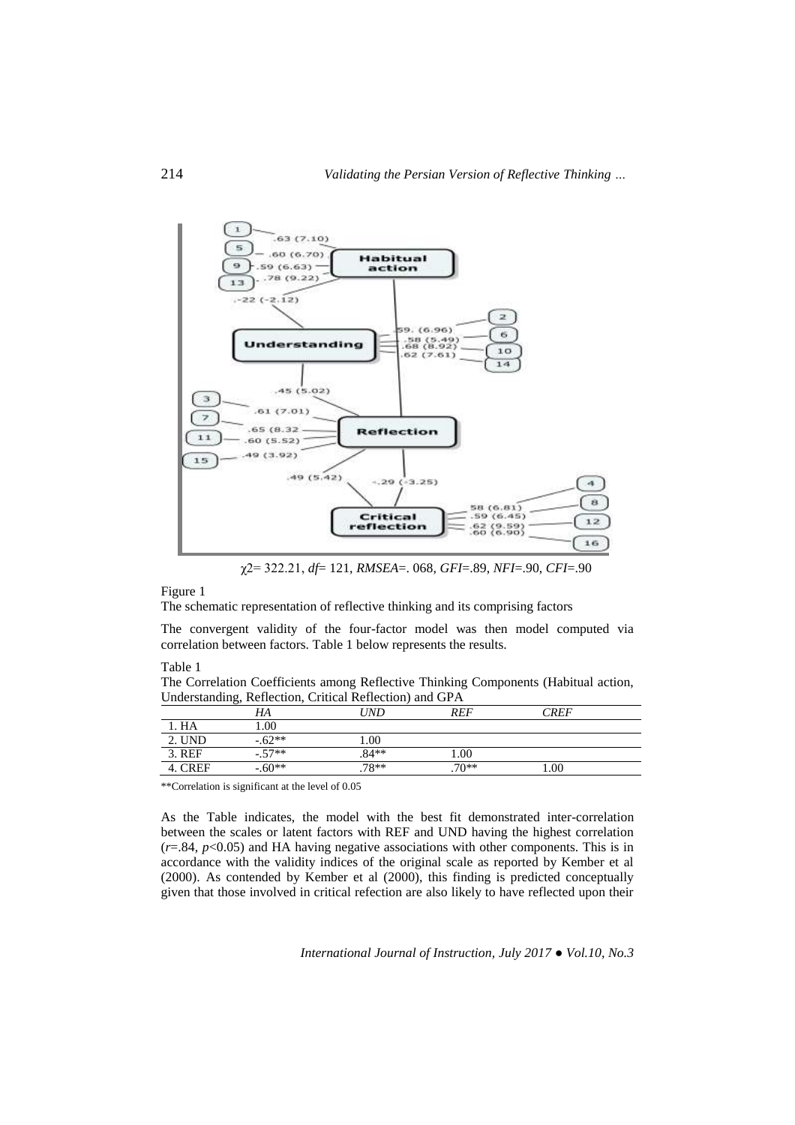

χ2= 322.21, *df*= 121, *RMSEA*=. 068, *GFI*=.89, *NFI*=.90, *CFI*=.90

Figure 1

The schematic representation of reflective thinking and its comprising factors

The convergent validity of the four-factor model was then model computed via correlation between factors. Table 1 below represents the results.

Table 1

The Correlation Coefficients among Reflective Thinking Components (Habitual action, Understanding, Reflection, Critical Reflection) and GPA

|        | HA       | מאוי    | RFF     | $\it{CRFF}$ |  |
|--------|----------|---------|---------|-------------|--|
| 1. HA  | .00      |         |         |             |  |
| 2. UND | $-.62**$ | .00     |         |             |  |
| 3. REF | $-.57**$ | .84**   | 00.1    |             |  |
| CREE   | $-.60**$ | $.78**$ | $.70**$ | .00         |  |
|        |          |         |         |             |  |

\*\*Correlation is significant at the level of 0.05

As the Table indicates, the model with the best fit demonstrated inter-correlation between the scales or latent factors with REF and UND having the highest correlation  $(r=.84, p<0.05)$  and HA having negative associations with other components. This is in accordance with the validity indices of the original scale as reported by Kember et al (2000). As contended by Kember et al (2000), this finding is predicted conceptually given that those involved in critical refection are also likely to have reflected upon their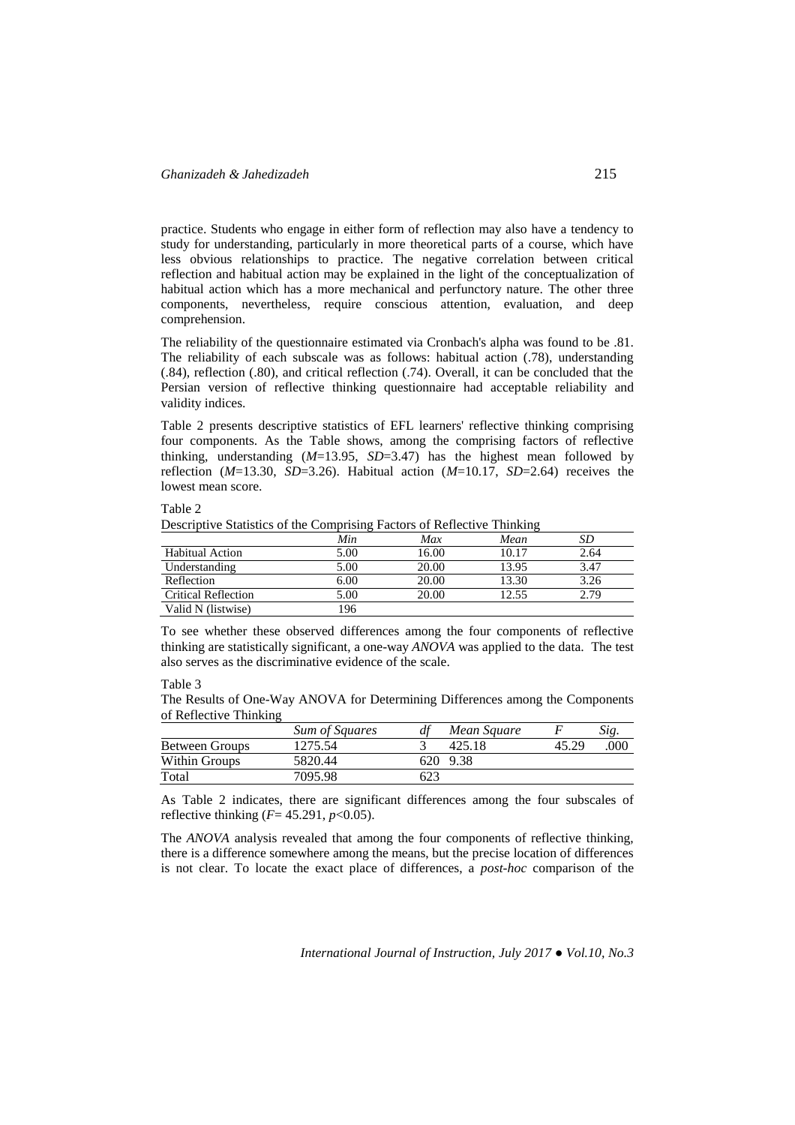practice. Students who engage in either form of reflection may also have a tendency to study for understanding, particularly in more theoretical parts of a course, which have less obvious relationships to practice. The negative correlation between critical reflection and habitual action may be explained in the light of the conceptualization of habitual action which has a more mechanical and perfunctory nature. The other three components, nevertheless, require conscious attention, evaluation, and deep comprehension.

The reliability of the questionnaire estimated via Cronbach's alpha was found to be .81. The reliability of each subscale was as follows: habitual action (.78), understanding (.84), reflection (.80), and critical reflection (.74). Overall, it can be concluded that the Persian version of reflective thinking questionnaire had acceptable reliability and validity indices.

Table 2 presents descriptive statistics of EFL learners' reflective thinking comprising four components. As the Table shows, among the comprising factors of reflective thinking, understanding (*M*=13.95, *SD*=3.47) has the highest mean followed by reflection (*M*=13.30, *SD*=3.26). Habitual action (*M*=10.17, *SD*=2.64) receives the lowest mean score.

Table 2

Descriptive Statistics of the Comprising Factors of Reflective Thinking

|                            | Min  | Max   | Mean  | SD   |
|----------------------------|------|-------|-------|------|
| <b>Habitual Action</b>     | 5.00 | 16.00 | 10.17 | 2.64 |
| Understanding              | 5.00 | 20.00 | 13.95 | 3.47 |
| Reflection                 | 6.00 | 20.00 | 13.30 | 3.26 |
| <b>Critical Reflection</b> | 5.00 | 20.00 | 12.55 | 2.79 |
| Valid N (listwise)         | '96  |       |       |      |

To see whether these observed differences among the four components of reflective thinking are statistically significant, a one-way *ANOVA* was applied to the data. The test also serves as the discriminative evidence of the scale.

Table 3

The Results of One-Way ANOVA for Determining Differences among the Components of Reflective Thinking

|                | <b>Sum of Squares</b> |     | Mean Square |       |     |
|----------------|-----------------------|-----|-------------|-------|-----|
| Between Groups | 1275.54               |     | 425.18      | 45.29 | 000 |
| Within Groups  | 5820.44               |     | 620 9.38    |       |     |
| Total          | 7095.98               | 623 |             |       |     |

As Table 2 indicates, there are significant differences among the four subscales of reflective thinking  $(F = 45.291, p < 0.05)$ .

The *ANOVA* analysis revealed that among the four components of reflective thinking, there is a difference somewhere among the means, but the precise location of differences is not clear. To locate the exact place of differences, a *post-hoc* comparison of the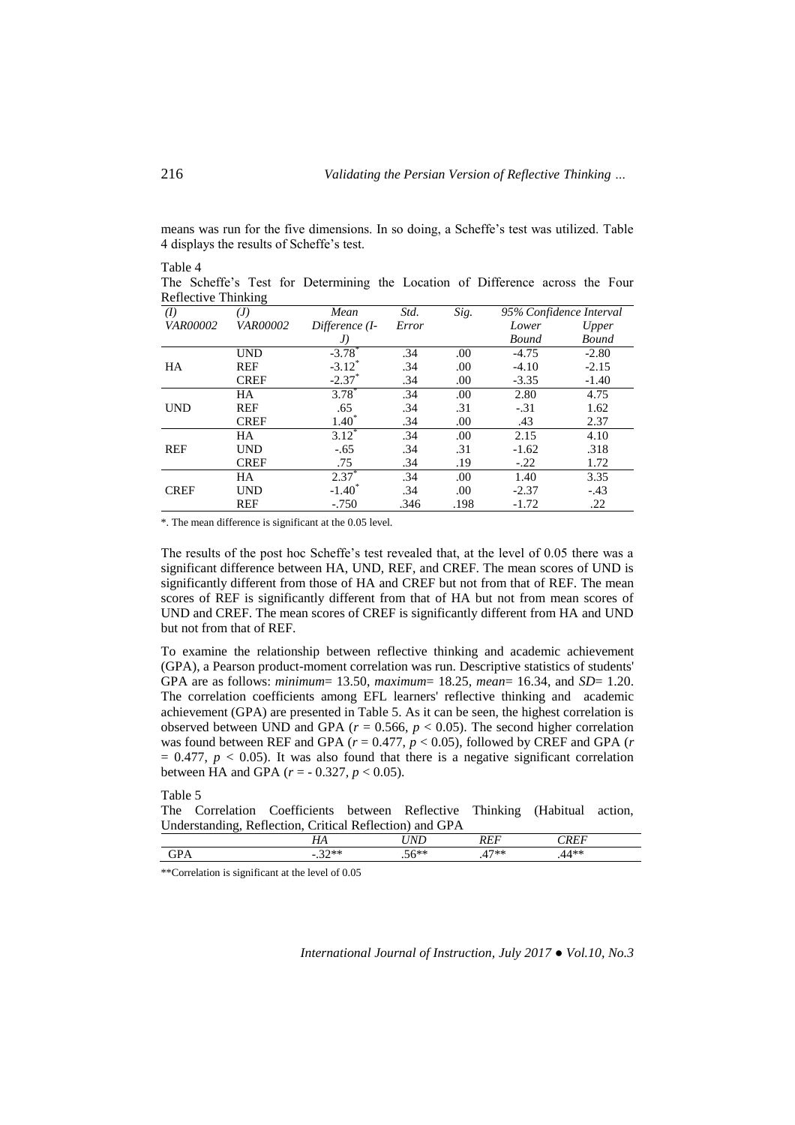means was run for the five dimensions. In so doing, a Scheffe's test was utilized. Table 4 displays the results of Scheffe's test.

Table 4 The Scheffe's Test for Determining the Location of Difference across the Four Reflective Thinking

| (I)         | ັ<br>(J)        | Mean                 | Std.  | Sig. |              | 95% Confidence Interval |
|-------------|-----------------|----------------------|-------|------|--------------|-------------------------|
| VAR00002    | <i>VAR00002</i> | Difference (I-       | Error |      | Lower        | Upper                   |
|             |                 | J)                   |       |      | <b>Bound</b> | <b>Bound</b>            |
|             | <b>UND</b>      | $-3.78$ *            | .34   | .00  | $-4.75$      | $-2.80$                 |
| HA          | <b>REF</b>      | $-3.12$ <sup>*</sup> | .34   | .00  | $-4.10$      | $-2.15$                 |
|             | <b>CREF</b>     | $-2.37$ <sup>*</sup> | .34   | .00  | $-3.35$      | $-1.40$                 |
|             | HA              | $3.78^{*}$           | .34   | .00  | 2.80         | 4.75                    |
| <b>UND</b>  | <b>REF</b>      | .65                  | .34   | .31  | $-.31$       | 1.62                    |
|             | <b>CREF</b>     | $1.40^{\circ}$       | .34   | .00  | .43          | 2.37                    |
|             | HA              | $3.12^*$             | .34   | .00  | 2.15         | 4.10                    |
| <b>REF</b>  | <b>UND</b>      | $-.65$               | .34   | .31  | $-1.62$      | .318                    |
|             | <b>CREF</b>     | .75                  | .34   | .19  | $-.22$       | 1.72                    |
|             | HA              | $2.37^*$             | .34   | .00  | 1.40         | 3.35                    |
| <b>CREF</b> | <b>UND</b>      | $-1.40^*$            | .34   | .00  | $-2.37$      | $-.43$                  |
|             | <b>REF</b>      | $-.750$              | .346  | .198 | $-1.72$      | .22                     |

\*. The mean difference is significant at the 0.05 level.

The results of the post hoc Scheffe's test revealed that, at the level of 0.05 there was a significant difference between HA, UND, REF, and CREF. The mean scores of UND is significantly different from those of HA and CREF but not from that of REF. The mean scores of REF is significantly different from that of HA but not from mean scores of UND and CREF. The mean scores of CREF is significantly different from HA and UND but not from that of REF.

To examine the relationship between reflective thinking and academic achievement (GPA), a Pearson product-moment correlation was run. Descriptive statistics of students' GPA are as follows: *minimum*= 13.50, *maximum*= 18.25, *mean*= 16.34, and *SD*= 1.20. The correlation coefficients among EFL learners' reflective thinking and academic achievement (GPA) are presented in Table 5. As it can be seen, the highest correlation is observed between UND and GPA ( $r = 0.566$ ,  $p < 0.05$ ). The second higher correlation was found between REF and GPA ( $r = 0.477$ ,  $p < 0.05$ ), followed by CREF and GPA ( $r = 0.477$ )  $= 0.477$ ,  $p < 0.05$ ). It was also found that there is a negative significant correlation between HA and GPA  $(r = -0.327, p < 0.05)$ .

Table 5

The Correlation Coefficients between Reflective Thinking (Habitual action, Understanding, Reflection, Critical Reflection) and GPA

| $\overline{\phantom{0}}$ | stest.<br>$\sim$ | the contract of the contract of |  |
|--------------------------|------------------|---------------------------------|--|

\*\*Correlation is significant at the level of 0.05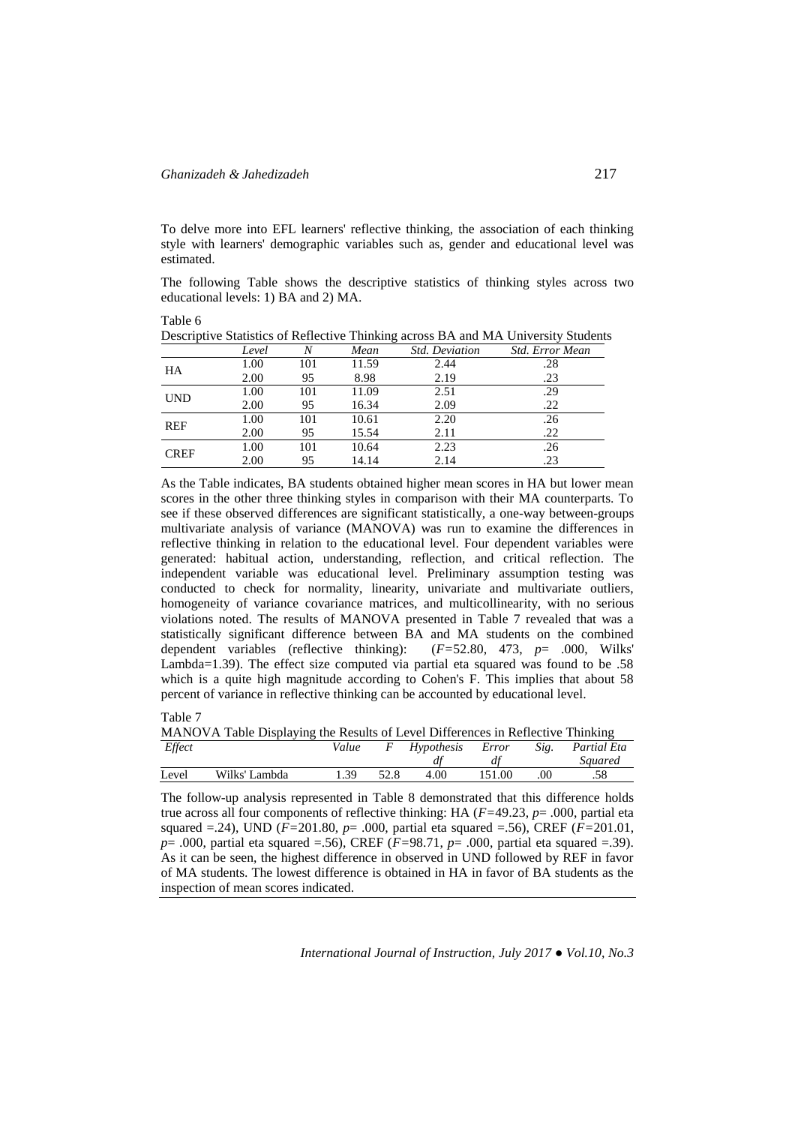To delve more into EFL learners' reflective thinking, the association of each thinking style with learners' demographic variables such as, gender and educational level was estimated.

The following Table shows the descriptive statistics of thinking styles across two educational levels: 1) BA and 2) MA.

| <i>Std. Deviation</i><br>Mean<br>Level<br>1.00<br>101<br>11.59<br>2.44<br>.28<br>HA<br>8.98<br>2.19<br>.23<br>2.00<br>95<br>11.09<br>1.00<br>.29<br>101<br>2.51<br><b>UND</b><br>.22<br>2.09<br>16.34<br>2.00<br>95<br>2.20<br>1.00<br>101<br>10.61<br>.26<br><b>REF</b><br>.22<br>2.00<br>15.54<br>2.11<br>95<br>2.23<br>1.00<br>101<br>10.64<br>.26<br><b>CREF</b> |  |  | Bescriptive Budistres of Reflective Thinking across B11 and MIT Chiversity Bradent |
|----------------------------------------------------------------------------------------------------------------------------------------------------------------------------------------------------------------------------------------------------------------------------------------------------------------------------------------------------------------------|--|--|------------------------------------------------------------------------------------|
|                                                                                                                                                                                                                                                                                                                                                                      |  |  | Std. Error Mean                                                                    |
|                                                                                                                                                                                                                                                                                                                                                                      |  |  |                                                                                    |
|                                                                                                                                                                                                                                                                                                                                                                      |  |  |                                                                                    |
|                                                                                                                                                                                                                                                                                                                                                                      |  |  |                                                                                    |
|                                                                                                                                                                                                                                                                                                                                                                      |  |  |                                                                                    |
|                                                                                                                                                                                                                                                                                                                                                                      |  |  |                                                                                    |
|                                                                                                                                                                                                                                                                                                                                                                      |  |  |                                                                                    |
|                                                                                                                                                                                                                                                                                                                                                                      |  |  |                                                                                    |
| 2.14<br>.23<br>2.00<br>14.14<br>95                                                                                                                                                                                                                                                                                                                                   |  |  |                                                                                    |

Descriptive Statistics of Reflective Thinking across BA and MA University Students

As the Table indicates, BA students obtained higher mean scores in HA but lower mean scores in the other three thinking styles in comparison with their MA counterparts. To see if these observed differences are significant statistically, a one-way between-groups multivariate analysis of variance (MANOVA) was run to examine the differences in reflective thinking in relation to the educational level. Four dependent variables were generated: habitual action, understanding, reflection, and critical reflection. The independent variable was educational level. Preliminary assumption testing was conducted to check for normality, linearity, univariate and multivariate outliers, homogeneity of variance covariance matrices, and multicollinearity, with no serious violations noted. The results of MANOVA presented in Table 7 revealed that was a statistically significant difference between BA and MA students on the combined dependent variables (reflective thinking):  $(F=52.80, 473, p= .000, Wilks')$ dependent variables (*reflective* thinking): Lambda=1.39). The effect size computed via partial eta squared was found to be .58 which is a quite high magnitude according to Cohen's F. This implies that about 58 percent of variance in reflective thinking can be accounted by educational level.

Table 7

Table 6

MANOVA Table Displaying the Results of Level Differences in Reflective Thinking

| Effect |               | Value |      | Hypothesis | Error  | Sig. | Partial Eta |
|--------|---------------|-------|------|------------|--------|------|-------------|
|        |               |       |      |            |        |      | Sauared     |
| Level  | Wilks' Lambda | 1.39  | 52.8 | 4.00       | 151.00 | .00  | .58         |

The follow-up analysis represented in Table 8 demonstrated that this difference holds true across all four components of reflective thinking: HA (*F=*49.23, *p*= .000, partial eta squared =.24), UND ( $\vec{F}$ =201.80,  $p$ = .000, partial eta squared =.56), CREF ( $\vec{F}$ =201.01, *p*= .000, partial eta squared =.56), CREF (*F=*98.71, *p*= .000, partial eta squared =.39). As it can be seen, the highest difference in observed in UND followed by REF in favor of MA students. The lowest difference is obtained in HA in favor of BA students as the inspection of mean scores indicated.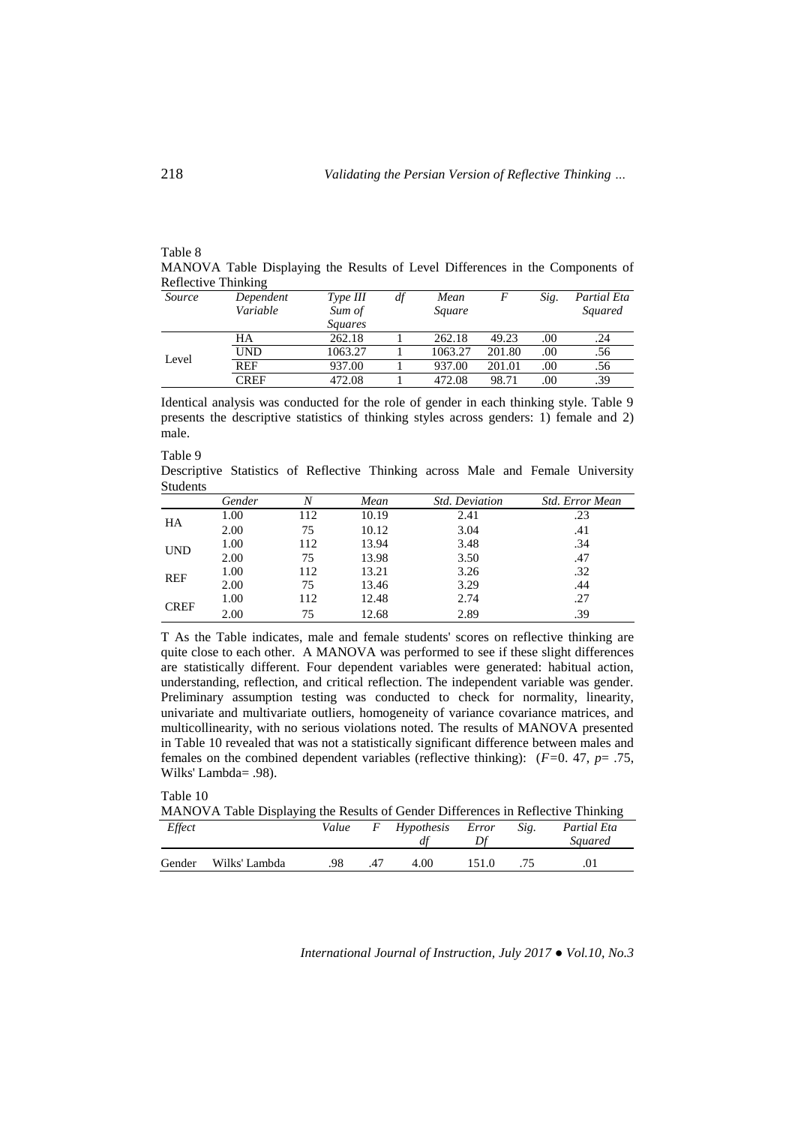|                     |           |          |      |  | MANOVA Table Displaying the Results of Level Differences in the Components of |  |
|---------------------|-----------|----------|------|--|-------------------------------------------------------------------------------|--|
| Reflective Thinking |           |          |      |  |                                                                               |  |
| Source              | Dependent | Type III | Mean |  | Sig. Partial Eta                                                              |  |

| Source | Dependent<br>Variable | Type III<br>Sum of | dt | Mean<br>Square | ľ      | Sig. | Partial Eta<br>Squared |
|--------|-----------------------|--------------------|----|----------------|--------|------|------------------------|
|        |                       | <i>Squares</i>     |    |                |        |      |                        |
|        | HA                    | 262.18             |    | 262.18         | 49.23  | .00  | .24                    |
| Level  | UND                   | 1063.27            |    | 1063.27        | 201.80 | .00  | .56                    |
|        | REF                   | 937.00             |    | 937.00         | 201.01 | .00  | .56                    |
|        | CREF                  | 472.08             |    | 472.08         | 98.71  | .00  | .39                    |

Identical analysis was conducted for the role of gender in each thinking style. Table 9 presents the descriptive statistics of thinking styles across genders: 1) female and 2) male.

Table 9

Descriptive Statistics of Reflective Thinking across Male and Female University Students

|             | Gender | N   | Mean  | <b>Std.</b> Deviation | Std. Error Mean |
|-------------|--------|-----|-------|-----------------------|-----------------|
| HA          | 1.00   | 112 | 10.19 | 2.41                  | .23             |
|             | 2.00   | 75  | 10.12 | 3.04                  | .41             |
| <b>UND</b>  | 1.00   | 112 | 13.94 | 3.48                  | .34             |
|             | 2.00   | 75  | 13.98 | 3.50                  | .47             |
| <b>REF</b>  | 1.00   | 112 | 13.21 | 3.26                  | .32             |
|             | 2.00   | 75  | 13.46 | 3.29                  | .44             |
| <b>CREF</b> | 1.00   | 112 | 12.48 | 2.74                  | .27             |
|             | 2.00   | 75  | 12.68 | 2.89                  | .39             |

T As the Table indicates, male and female students' scores on reflective thinking are quite close to each other. A MANOVA was performed to see if these slight differences are statistically different. Four dependent variables were generated: habitual action, understanding, reflection, and critical reflection. The independent variable was gender. Preliminary assumption testing was conducted to check for normality, linearity, univariate and multivariate outliers, homogeneity of variance covariance matrices, and multicollinearity, with no serious violations noted. The results of MANOVA presented in Table 10 revealed that was not a statistically significant difference between males and females on the combined dependent variables (reflective thinking): (*F=*0. 47, *p*= .75, Wilks' Lambda= .98).

Table 10

MANOVA Table Displaying the Results of Gender Differences in Reflective Thinking

| Effect |               | Value | $\overline{F}$ | Hypothesis Error |       | Sig. | Partial Eta<br>Squared |
|--------|---------------|-------|----------------|------------------|-------|------|------------------------|
| Gender | Wilks' Lambda | .98   | .47            | 4.00             | 151.0 |      |                        |

*International Journal of Instruction, July 2017 ● Vol.10, No.3*

Table 8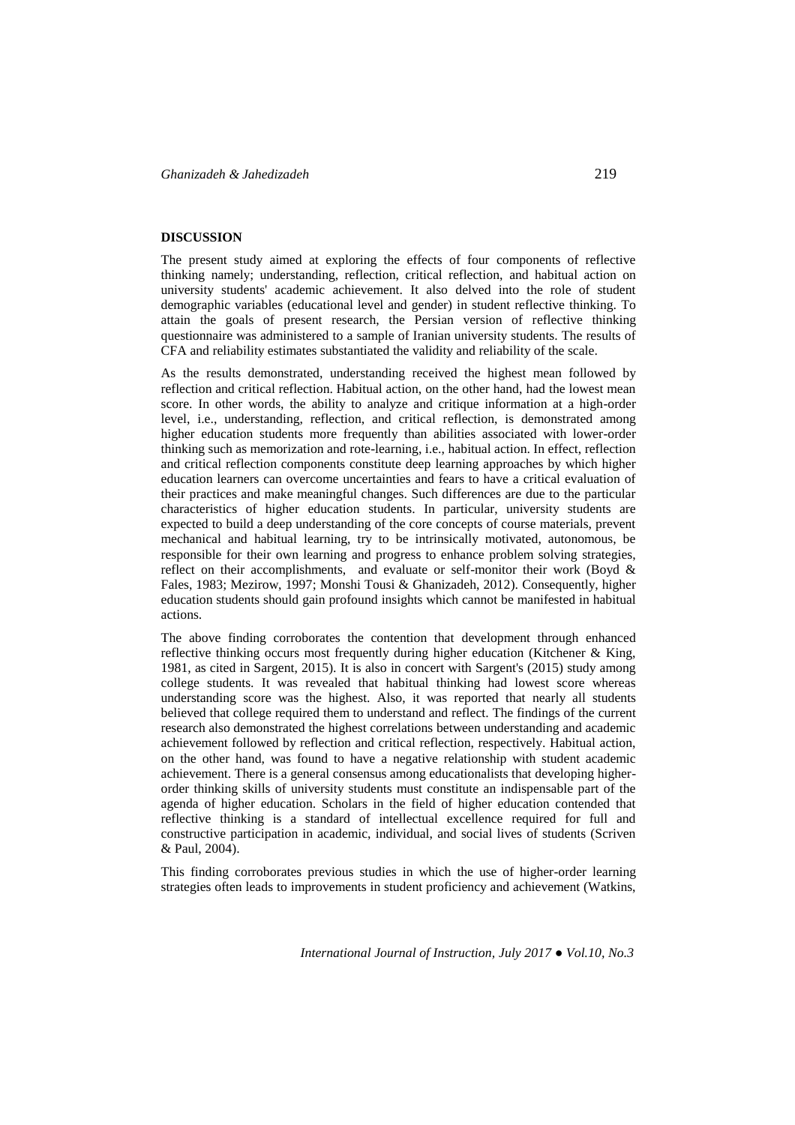### **DISCUSSION**

The present study aimed at exploring the effects of four components of reflective thinking namely; understanding, reflection, critical reflection, and habitual action on university students' academic achievement. It also delved into the role of student demographic variables (educational level and gender) in student reflective thinking. To attain the goals of present research, the Persian version of reflective thinking questionnaire was administered to a sample of Iranian university students. The results of CFA and reliability estimates substantiated the validity and reliability of the scale.

As the results demonstrated, understanding received the highest mean followed by reflection and critical reflection. Habitual action, on the other hand, had the lowest mean score. In other words, the ability to analyze and critique information at a high-order level, i.e., understanding, reflection, and critical reflection, is demonstrated among higher education students more frequently than abilities associated with lower-order thinking such as memorization and rote-learning, i.e., habitual action. In effect, reflection and critical reflection components constitute deep learning approaches by which higher education learners can overcome uncertainties and fears to have a critical evaluation of their practices and make meaningful changes. Such differences are due to the particular characteristics of higher education students. In particular, university students are expected to build a deep understanding of the core concepts of course materials, prevent mechanical and habitual learning, try to be intrinsically motivated, autonomous, be responsible for their own learning and progress to enhance problem solving strategies, reflect on their accomplishments, and evaluate or self-monitor their work (Boyd & Fales, 1983; Mezirow, 1997; Monshi Tousi & Ghanizadeh, 2012). Consequently, higher education students should gain profound insights which cannot be manifested in habitual actions.

The above finding corroborates the contention that development through enhanced reflective thinking occurs most frequently during higher education (Kitchener & King, 1981, as cited in Sargent, 2015). It is also in concert with Sargent's (2015) study among college students. It was revealed that habitual thinking had lowest score whereas understanding score was the highest. Also, it was reported that nearly all students believed that college required them to understand and reflect. The findings of the current research also demonstrated the highest correlations between understanding and academic achievement followed by reflection and critical reflection, respectively. Habitual action, on the other hand, was found to have a negative relationship with student academic achievement. There is a general consensus among educationalists that developing higherorder thinking skills of university students must constitute an indispensable part of the agenda of higher education. Scholars in the field of higher education contended that reflective thinking is a standard of intellectual excellence required for full and constructive participation in academic, individual, and social lives of students (Scriven & Paul, 2004).

This finding corroborates previous studies in which the use of higher-order learning strategies often leads to improvements in student proficiency and achievement (Watkins,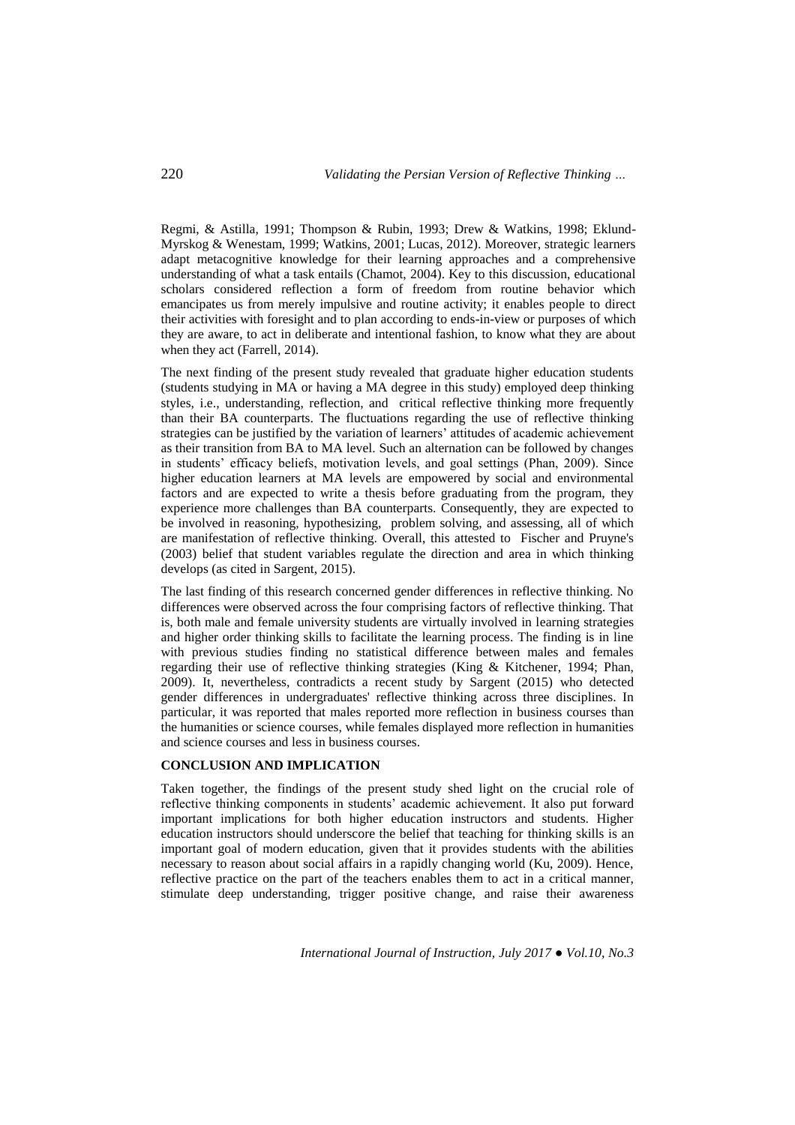Regmi, & Astilla, 1991; Thompson & Rubin, 1993; Drew & Watkins, 1998; Eklund-Myrskog & Wenestam, 1999; Watkins, 2001; Lucas, 2012). Moreover, strategic learners adapt metacognitive knowledge for their learning approaches and a comprehensive understanding of what a task entails (Chamot, 2004). Key to this discussion, educational scholars considered reflection a form of freedom from routine behavior which emancipates us from merely impulsive and routine activity; it enables people to direct their activities with foresight and to plan according to ends-in-view or purposes of which they are aware, to act in deliberate and intentional fashion, to know what they are about when they act (Farrell, 2014).

The next finding of the present study revealed that graduate higher education students (students studying in MA or having a MA degree in this study) employed deep thinking styles, i.e., understanding, reflection, and critical reflective thinking more frequently than their BA counterparts. The fluctuations regarding the use of reflective thinking strategies can be justified by the variation of learners' attitudes of academic achievement as their transition from BA to MA level. Such an alternation can be followed by changes in students' efficacy beliefs, motivation levels, and goal settings (Phan, 2009). Since higher education learners at MA levels are empowered by social and environmental factors and are expected to write a thesis before graduating from the program, they experience more challenges than BA counterparts. Consequently, they are expected to be involved in reasoning, hypothesizing, problem solving, and assessing, all of which are manifestation of reflective thinking. Overall, this attested to Fischer and Pruyne's (2003) belief that student variables regulate the direction and area in which thinking develops (as cited in Sargent, 2015).

The last finding of this research concerned gender differences in reflective thinking. No differences were observed across the four comprising factors of reflective thinking. That is, both male and female university students are virtually involved in learning strategies and higher order thinking skills to facilitate the learning process. The finding is in line with previous studies finding no statistical difference between males and females regarding their use of reflective thinking strategies (King & Kitchener, 1994; Phan, 2009). It, nevertheless, contradicts a recent study by Sargent (2015) who detected gender differences in undergraduates' reflective thinking across three disciplines. In particular, it was reported that males reported more reflection in business courses than the humanities or science courses, while females displayed more reflection in humanities and science courses and less in business courses.

## **CONCLUSION AND IMPLICATION**

Taken together, the findings of the present study shed light on the crucial role of reflective thinking components in students' academic achievement. It also put forward important implications for both higher education instructors and students. Higher education instructors should underscore the belief that teaching for thinking skills is an important goal of modern education, given that it provides students with the abilities necessary to reason about social affairs in a rapidly changing world (Ku, 2009). Hence, reflective practice on the part of the teachers enables them to act in a critical manner, stimulate deep understanding, trigger positive change, and raise their awareness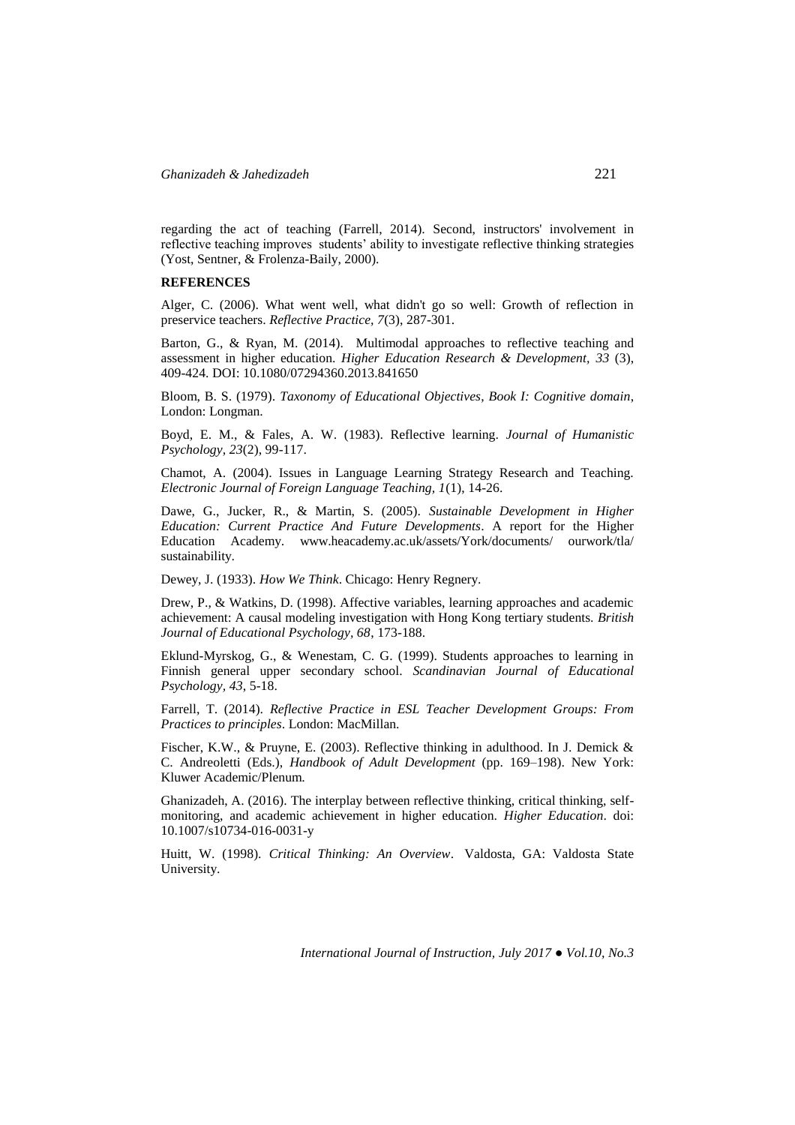regarding the act of teaching (Farrell, 2014). Second, instructors' involvement in reflective teaching improves students' ability to investigate reflective thinking strategies (Yost, Sentner, & Frolenza-Baily, 2000).

### **REFERENCES**

Alger, C. (2006). What went well, what didn't go so well: Growth of reflection in preservice teachers. *Reflective Practice, 7*(3), 287-301.

Barton, G., & Ryan, M. (2014). Multimodal approaches to reflective teaching and assessment in higher education. *Higher Education Research & Development, 33* (3), 409-424. DOI: 10.1080/07294360.2013.841650

Bloom, B. S. (1979). *Taxonomy of Educational Objectives*, *Book I: Cognitive domain*, London: Longman.

Boyd, E. M., & Fales, A. W. (1983). Reflective learning. *Journal of Humanistic Psychology, 23*(2), 99-117.

Chamot, A. (2004). Issues in Language Learning Strategy Research and Teaching. *Electronic Journal of Foreign Language Teaching, 1*(1), 14-26.

Dawe, G., Jucker, R., & Martin, S. (2005). *Sustainable Development in Higher Education: Current Practice And Future Developments*. A report for the Higher Education Academy. [www.heacademy.ac.uk/assets/York/documents/ ourwork/tla/](http://www.heacademy.ac.uk/assets/York/documents/%20ourwork/tla/%20sustainability)  [sustainability.](http://www.heacademy.ac.uk/assets/York/documents/%20ourwork/tla/%20sustainability)

Dewey, J. (1933). *How We Think*. Chicago: Henry Regnery.

Drew, P., & Watkins, D. (1998). Affective variables, learning approaches and academic achievement: A causal modeling investigation with Hong Kong tertiary students. *British Journal of Educational Psychology, 68*, 173-188.

Eklund-Myrskog, G., & Wenestam, C. G. (1999). Students approaches to learning in Finnish general upper secondary school. *Scandinavian Journal of Educational Psychology, 43*, 5-18.

Farrell, T. (2014). *Reflective Practice in ESL Teacher Development Groups: From Practices to principles*. London: MacMillan.

Fischer, K.W., & Pruyne, E. (2003). Reflective thinking in adulthood. In J. Demick & C. Andreoletti (Eds.), *Handbook of Adult Development* (pp. 169–198). New York: Kluwer Academic/Plenum.

Ghanizadeh, A. (2016). The interplay between reflective thinking, critical thinking, selfmonitoring, and academic achievement in higher education. *Higher Education*. doi: 10.1007/s10734-016-0031-y

Huitt, W. (1998). *Critical Thinking: An Overview*. Valdosta, GA: Valdosta State University.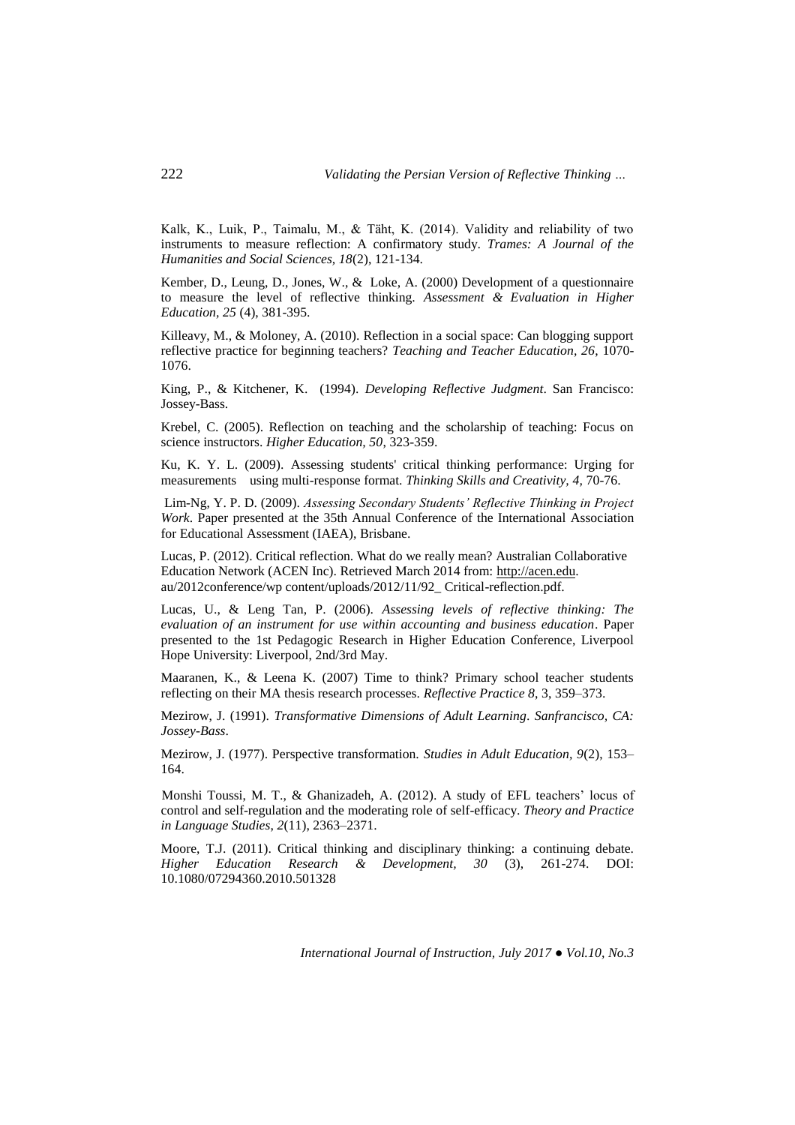Kalk, K., Luik, P., Taimalu, M., & Täht, K. (2014). Validity and reliability of two instruments to measure reflection: A confirmatory study. *Trames: A Journal of the Humanities and Social Sciences, 18*(2), 121-134.

Kember, D., Leung, D., Jones, W., & Loke, A. (2000) Development of a questionnaire to measure the level of reflective thinking. *Assessment & Evaluation in Higher Education, 25* (4), 381-395.

Killeavy, M., & Moloney, A. (2010). Reflection in a social space: Can blogging support reflective practice for beginning teachers? *Teaching and Teacher Education, 26*, 1070- 1076.

King, P., & Kitchener, K. (1994). *Developing Reflective Judgment*. San Francisco: Jossey-Bass.

Krebel, C. (2005). Reflection on teaching and the scholarship of teaching: Focus on science instructors. *Higher Education, 50*, 323-359.

Ku, K. Y. L. (2009). Assessing students' critical thinking performance: Urging for measurements using multi-response format. *Thinking Skills and Creativity, 4,* 70-76.

Lim-Ng, Y. P. D. (2009). *Assessing Secondary Students' Reflective Thinking in Project Work*. Paper presented at the 35th Annual Conference of the International Association for Educational Assessment (IAEA), Brisbane.

Lucas, P. (2012). Critical reflection. What do we really mean? Australian Collaborative Education Network (ACEN Inc). Retrieved March 2014 from: [http://acen.edu.](http://acen.edu/) au/2012conference/wp content/uploads/2012/11/92\_ Critical-reflection.pdf.

Lucas, U., & Leng Tan, P. (2006). *Assessing levels of reflective thinking: The evaluation of an instrument for use within accounting and business education*. Paper presented to the 1st Pedagogic Research in Higher Education Conference, Liverpool Hope University: Liverpool, 2nd/3rd May.

Maaranen, K., & Leena K. (2007) Time to think? Primary school teacher students reflecting on their MA thesis research processes. *Reflective Practice 8*, 3, 359–373.

Mezirow, J. (1991). *Transformative Dimensions of Adult Learning*. *Sanfrancisco, CA: Jossey-Bass*.

Mezirow, J. (1977). Perspective transformation. *Studies in Adult Education, 9*(2), 153– 164.

 Monshi Toussi, M. T., & Ghanizadeh, A. (2012). A study of EFL teachers' locus of control and self-regulation and the moderating role of self-efficacy. *Theory and Practice in Language Studies*, *2*(11), 2363–2371.

Moore, T.J. (2011). Critical thinking and disciplinary thinking: a continuing debate. *Higher Education Research & Development, 30* (3), 261-274. DOI: 10.1080/07294360.2010.501328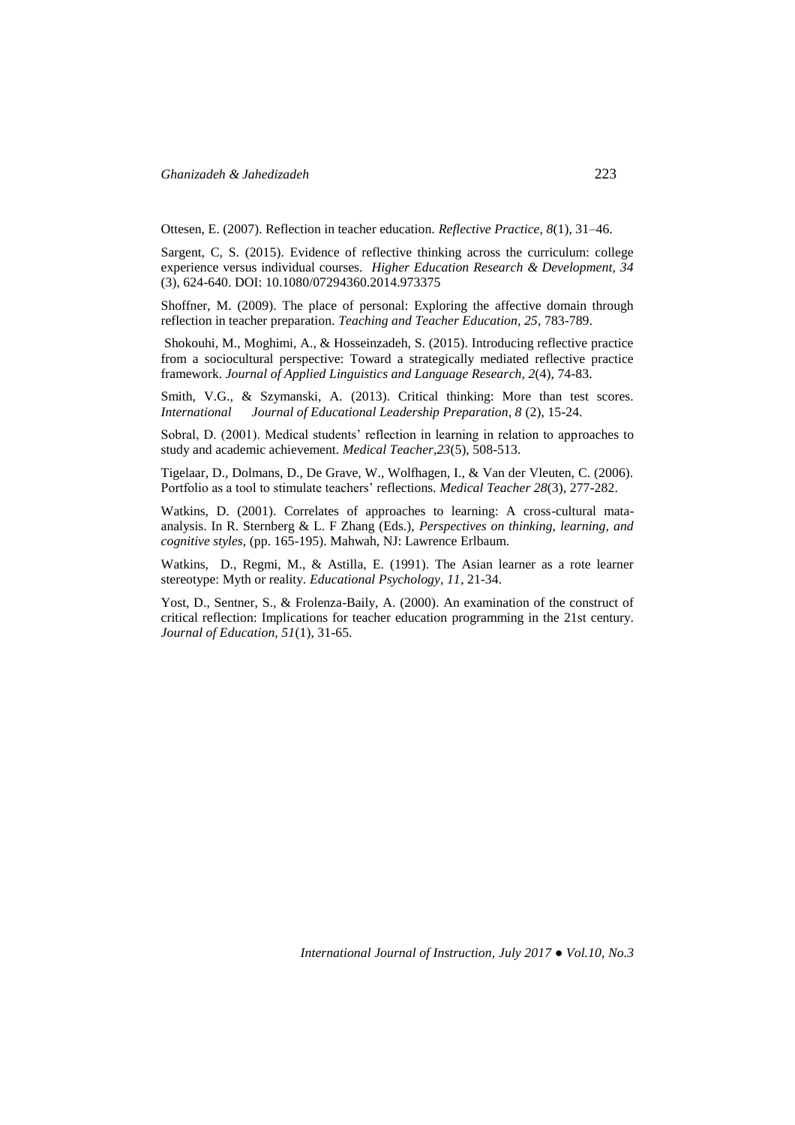Ottesen, E. (2007). Reflection in teacher education. *Reflective Practice, 8*(1), 31–46.

Sargent, C, S. (2015). Evidence of reflective thinking across the curriculum: college experience versus individual courses. *Higher Education Research & Development, 34* (3), 624-640. DOI: 10.1080/07294360.2014.973375

Shoffner, M. (2009). The place of personal: Exploring the affective domain through reflection in teacher preparation. *Teaching and Teacher Education, 25*, 783-789.

Shokouhi, M., Moghimi, A., & Hosseinzadeh, S. (2015). Introducing reflective practice from a sociocultural perspective: Toward a strategically mediated reflective practice framework. *Journal of Applied Linguistics and Language Research, 2*(4), 74-83.

Smith, V.G., & Szymanski, A. (2013). Critical thinking: More than test scores. *International Journal of Educational Leadership Preparation, 8* (2), 15-24.

Sobral, D. (2001). Medical students' reflection in learning in relation to approaches to study and academic achievement. *Medical Teacher,23*(5), 508-513.

Tigelaar, D., Dolmans, D., De Grave, W., Wolfhagen, I., & Van der Vleuten, C. (2006). Portfolio as a tool to stimulate teachers' reflections. *Medical Teacher 28*(3), 277-282.

Watkins, D. (2001). Correlates of approaches to learning: A cross-cultural mataanalysis. In R. Sternberg & L. F Zhang (Eds.), *Perspectives on thinking, learning, and cognitive styles,* (pp. 165-195). Mahwah, NJ: Lawrence Erlbaum.

Watkins, D., Regmi, M., & Astilla, E. (1991). The Asian learner as a rote learner stereotype: Myth or reality. *Educational Psychology, 11*, 21-34.

Yost, D., Sentner, S., & Frolenza-Baily, A. (2000). An examination of the construct of critical reflection: Implications for teacher education programming in the 21st century. *Journal of Education, 51*(1), 31-65.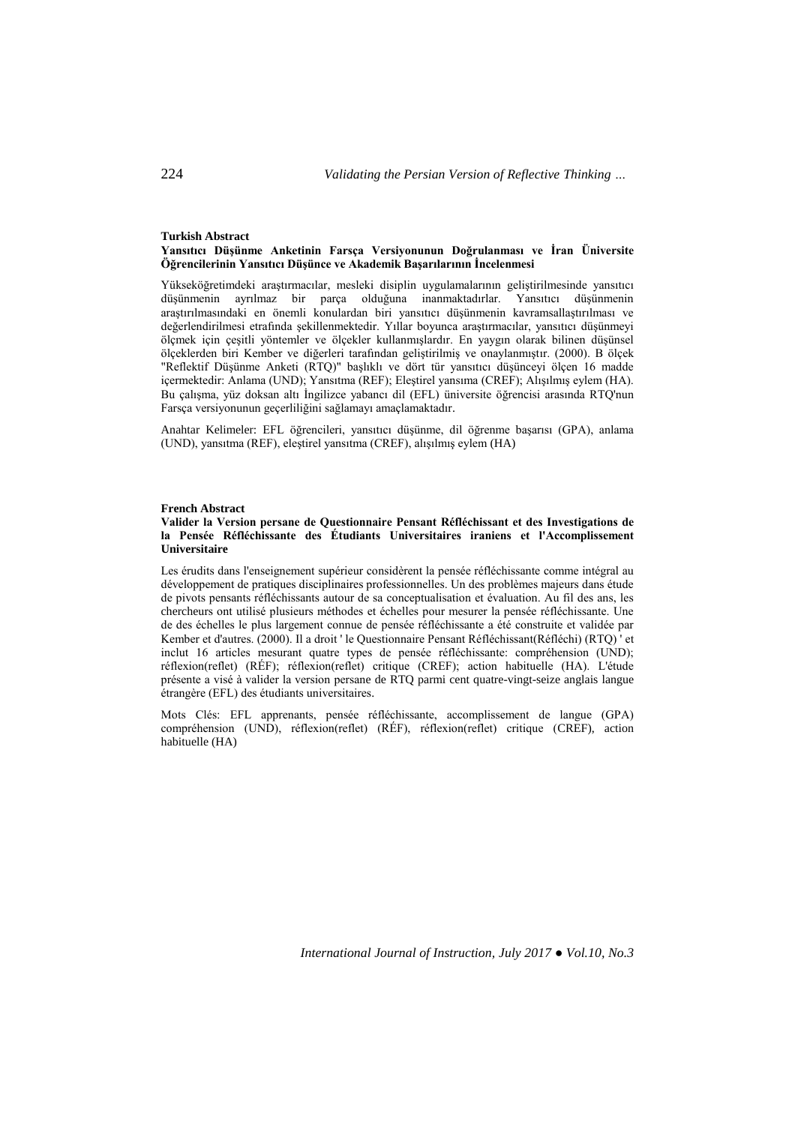#### **Turkish Abstract**

## **Yansıtıcı Düşünme Anketinin Farsça Versiyonunun Doğrulanması ve İran Üniversite Öğrencilerinin Yansıtıcı Düşünce ve Akademik Başarılarının İncelenmesi**

Yükseköğretimdeki araştırmacılar, mesleki disiplin uygulamalarının geliştirilmesinde yansıtıcı düşünmenin ayrılmaz bir parça olduğuna inanmaktadırlar. Yansıtıcı düşünmenin araştırılmasındaki en önemli konulardan biri yansıtıcı düşünmenin kavramsallaştırılması ve değerlendirilmesi etrafında şekillenmektedir. Yıllar boyunca araştırmacılar, yansıtıcı düşünmeyi ölçmek için çeşitli yöntemler ve ölçekler kullanmışlardır. En yaygın olarak bilinen düşünsel ölçeklerden biri Kember ve diğerleri tarafından geliştirilmiş ve onaylanmıştır. (2000). B ölçek "Reflektif Düşünme Anketi (RTQ)" başlıklı ve dört tür yansıtıcı düşünceyi ölçen 16 madde içermektedir: Anlama (UND); Yansıtma (REF); Eleştirel yansıma (CREF); Alışılmış eylem (HA). Bu çalışma, yüz doksan altı İngilizce yabancı dil (EFL) üniversite öğrencisi arasında RTQ'nun Farsça versiyonunun geçerliliğini sağlamayı amaçlamaktadır.

Anahtar Kelimeler: EFL öğrencileri, yansıtıcı düşünme, dil öğrenme başarısı (GPA), anlama (UND), yansıtma (REF), eleştirel yansıtma (CREF), alışılmış eylem (HA)

#### **French Abstract**

## **Valider la Version persane de Questionnaire Pensant Réfléchissant et des Investigations de la Pensée Réfléchissante des Étudiants Universitaires iraniens et l'Accomplissement Universitaire**

Les érudits dans l'enseignement supérieur considèrent la pensée réfléchissante comme intégral au développement de pratiques disciplinaires professionnelles. Un des problèmes majeurs dans étude de pivots pensants réfléchissants autour de sa conceptualisation et évaluation. Au fil des ans, les chercheurs ont utilisé plusieurs méthodes et échelles pour mesurer la pensée réfléchissante. Une de des échelles le plus largement connue de pensée réfléchissante a été construite et validée par Kember et d'autres. (2000). Il a droit ' le Questionnaire Pensant Réfléchissant(Réfléchi) (RTQ) ' et inclut 16 articles mesurant quatre types de pensée réfléchissante: compréhension (UND); réflexion(reflet) (RÉF); réflexion(reflet) critique (CREF); action habituelle (HA). L'étude présente a visé à valider la version persane de RTQ parmi cent quatre-vingt-seize anglais langue étrangère (EFL) des étudiants universitaires.

Mots Clés: EFL apprenants, pensée réfléchissante, accomplissement de langue (GPA) compréhension (UND), réflexion(reflet) (RÉF), réflexion(reflet) critique (CREF), action habituelle (HA)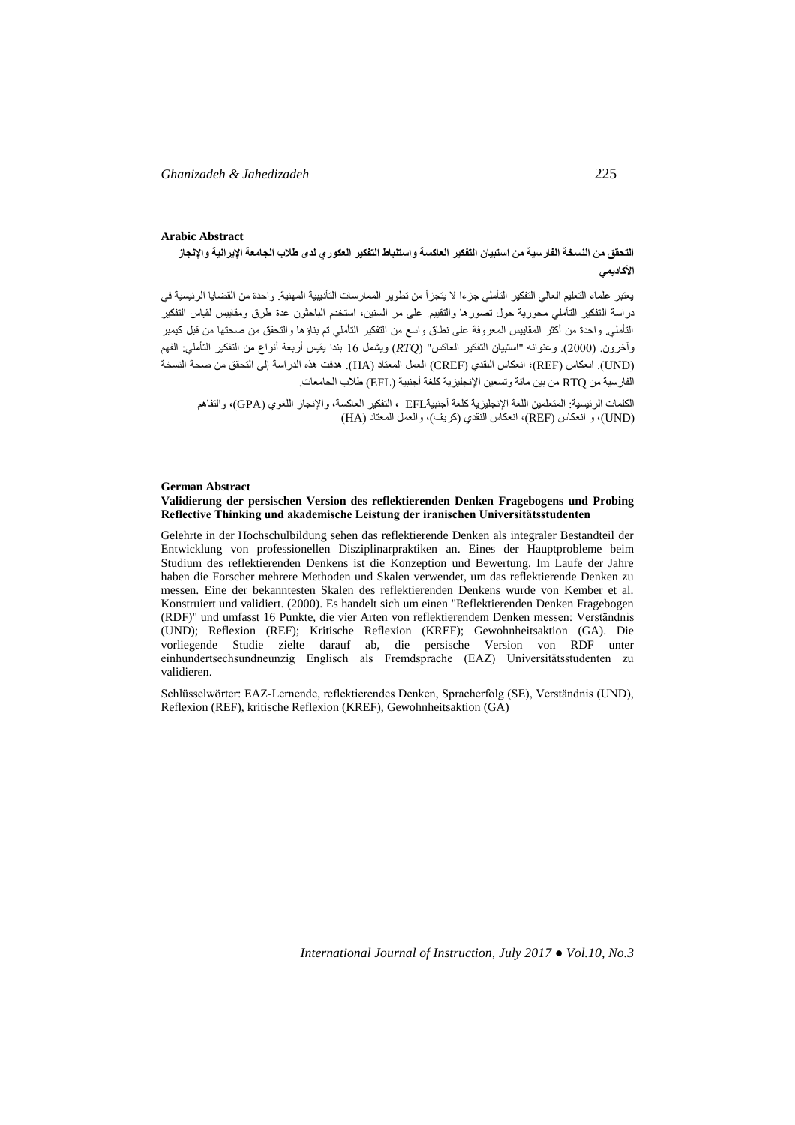### **Arabic Abstract**

**التحقق من النسخة الفارسية من استبيان التفكير العاكسة واستنباط التفكير العكوري لدى طالب الجامعة اإليرانية واإلنجاز األكاديمي**

يعتبر علماء التعليم العالي التفكير التأملي جزءا ال يتجزأ من تطوير الممارسات التأديبية المهنية. واحدة من القضايا الرئيسية في دراسة التفكير التأملي محورية حول تصورها والتقييم. على مر السنين، استخدم الباحثون عدة طرق ومقاييس لقياس التفكير التأملي. واحدة من أكثر المقاييس المعروفة على نطاق واسع من التفكير التأملي تم بناؤها والتحقق من صحتها من قبل كيمبر وآخرون. )0222(. وعنوانه "استبيان التفكير العاكس" )*RTQ* )ويشمل 61 بندا يقيس أربعة أنواع من التفكير التأملي: الفهم )UND). انعكاس )REF)؛ انعكاس النقدي )CREF )العمل المعتاد )HA). هدفت هذه الدراسة إلى التحقق من صحة النسخة الفارسية من RTQ من بين مائة وتسعين اإلنجليزية كلغة أجنبية )EFL )طالب الجامعات.

الكلمات الرئيسية: المتعلمين اللغة اإلنجليزية كلغة أجنبيةEFL ، التفكير العاكسة، واإلنجاز اللغوي )GPA)، والتفاهم )UND)، و انعكاس )REF)، انعكاس النقدي )كريف(، والعمل المعتاد )HA)

### **German Abstract Validierung der persischen Version des reflektierenden Denken Fragebogens und Probing Reflective Thinking und akademische Leistung der iranischen Universitätsstudenten**

Gelehrte in der Hochschulbildung sehen das reflektierende Denken als integraler Bestandteil der Entwicklung von professionellen Disziplinarpraktiken an. Eines der Hauptprobleme beim Studium des reflektierenden Denkens ist die Konzeption und Bewertung. Im Laufe der Jahre haben die Forscher mehrere Methoden und Skalen verwendet, um das reflektierende Denken zu messen. Eine der bekanntesten Skalen des reflektierenden Denkens wurde von Kember et al. Konstruiert und validiert. (2000). Es handelt sich um einen "Reflektierenden Denken Fragebogen (RDF)" und umfasst 16 Punkte, die vier Arten von reflektierendem Denken messen: Verständnis (UND); Reflexion (REF); Kritische Reflexion (KREF); Gewohnheitsaktion (GA). Die vorliegende Studie zielte darauf ab, die persische Version von RDF unter einhundertsechsundneunzig Englisch als Fremdsprache (EAZ) Universitätsstudenten zu validieren.

Schlüsselwörter: EAZ-Lernende, reflektierendes Denken, Spracherfolg (SE), Verständnis (UND), Reflexion (REF), kritische Reflexion (KREF), Gewohnheitsaktion (GA)